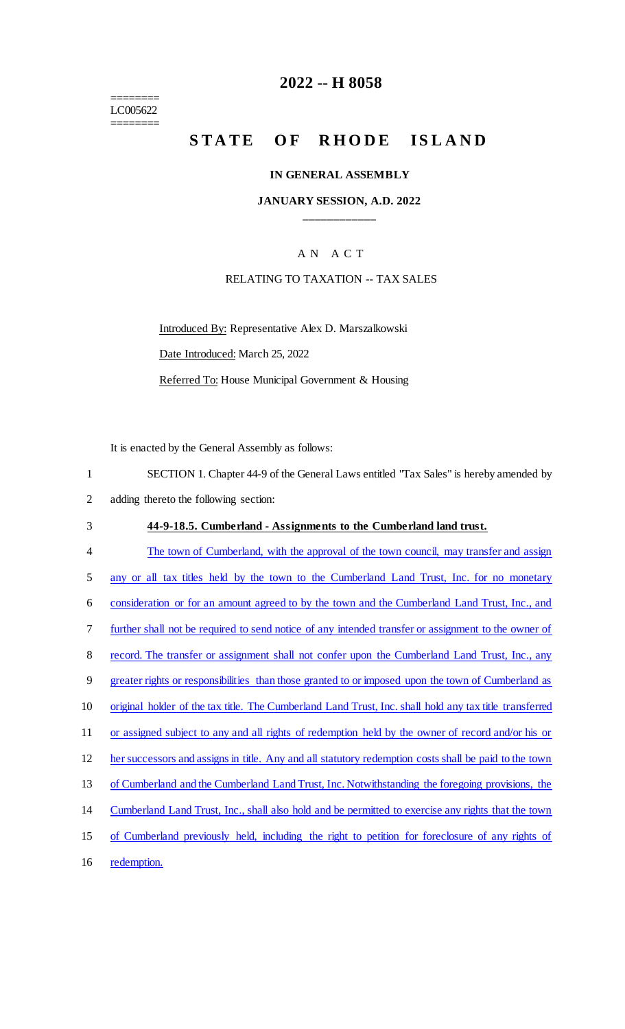======== LC005622 ========

## **2022 -- H 8058**

# **STATE OF RHODE ISLAND**

#### **IN GENERAL ASSEMBLY**

#### **JANUARY SESSION, A.D. 2022 \_\_\_\_\_\_\_\_\_\_\_\_**

#### A N A C T

#### RELATING TO TAXATION -- TAX SALES

Introduced By: Representative Alex D. Marszalkowski Date Introduced: March 25, 2022 Referred To: House Municipal Government & Housing

It is enacted by the General Assembly as follows:

1 SECTION 1. Chapter 44-9 of the General Laws entitled "Tax Sales" is hereby amended by 2 adding thereto the following section: 3 **44-9-18.5. Cumberland - Assignments to the Cumberland land trust.**  4 The town of Cumberland, with the approval of the town council, may transfer and assign 5 any or all tax titles held by the town to the Cumberland Land Trust, Inc. for no monetary 6 consideration or for an amount agreed to by the town and the Cumberland Land Trust, Inc., and 7 further shall not be required to send notice of any intended transfer or assignment to the owner of 8 record. The transfer or assignment shall not confer upon the Cumberland Land Trust, Inc., any 9 greater rights or responsibilities than those granted to or imposed upon the town of Cumberland as 10 original holder of the tax title. The Cumberland Land Trust, Inc. shall hold any tax title transferred 11 or assigned subject to any and all rights of redemption held by the owner of record and/or his or 12 her successors and assigns in title. Any and all statutory redemption costs shall be paid to the town 13 of Cumberland and the Cumberland Land Trust, Inc. Notwithstanding the foregoing provisions, the 14 Cumberland Land Trust, Inc., shall also hold and be permitted to exercise any rights that the town 15 of Cumberland previously held, including the right to petition for foreclosure of any rights of 16 redemption.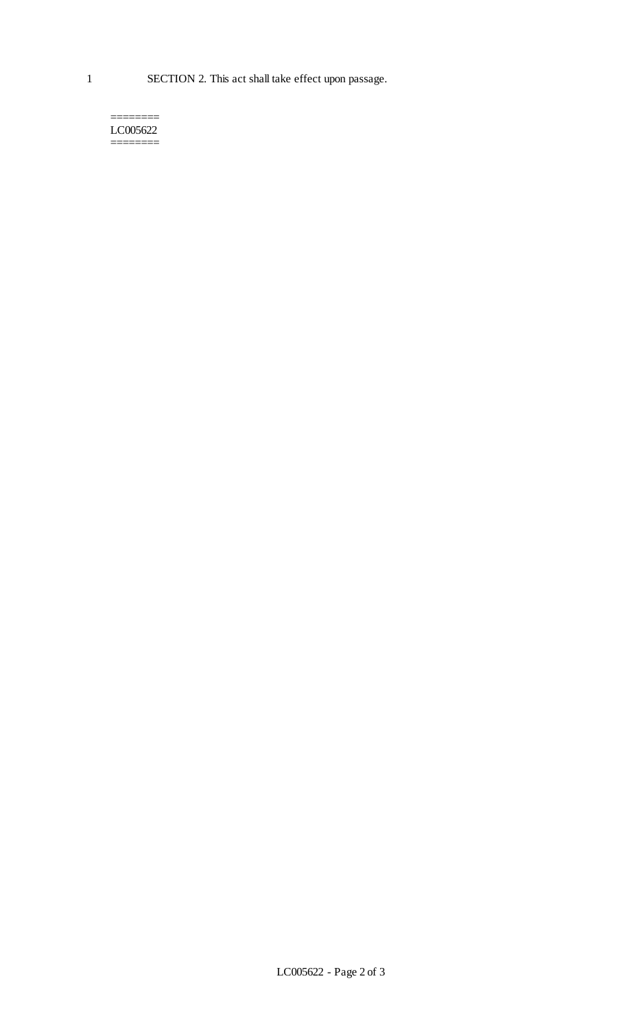======== LC005622 ========